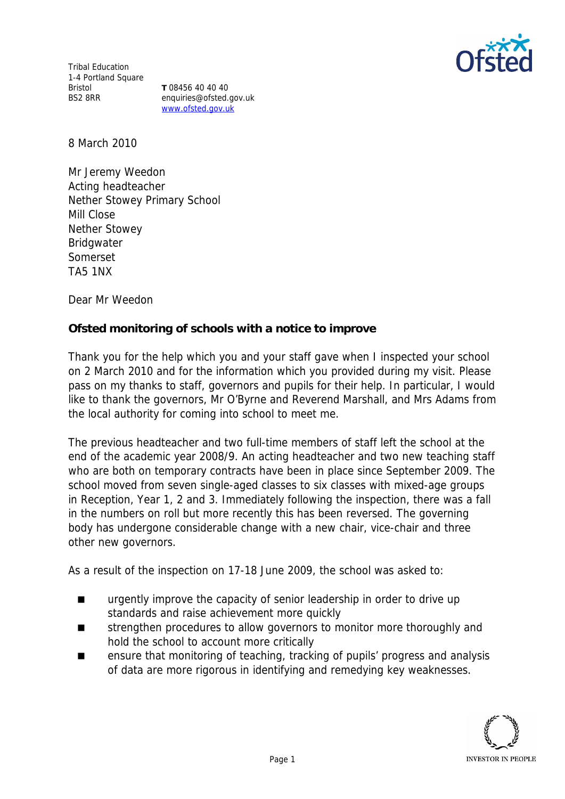

Tribal Education 1-4 Portland Square Bristol BS2 8RR

**T** 08456 40 40 40 enquiries@ofsted.gov.uk www.ofsted.gov.uk

8 March 2010

Mr Jeremy Weedon Acting headteacher Nether Stowey Primary School Mill Close Nether Stowey Bridgwater Somerset TA5 1NX

Dear Mr Weedon

**Ofsted monitoring of schools with a notice to improve**

Thank you for the help which you and your staff gave when I inspected your school on 2 March 2010 and for the information which you provided during my visit*.* Please pass on my thanks to staff, governors and pupils for their help. In particular, I would like to thank the governors, Mr O'Byrne and Reverend Marshall, and Mrs Adams from the local authority for coming into school to meet me.

The previous headteacher and two full-time members of staff left the school at the end of the academic year 2008/9. An acting headteacher and two new teaching staff who are both on temporary contracts have been in place since September 2009. The school moved from seven single-aged classes to six classes with mixed-age groups in Reception, Year 1, 2 and 3. Immediately following the inspection, there was a fall in the numbers on roll but more recently this has been reversed. The governing body has undergone considerable change with a new chair, vice-chair and three other new governors.

As a result of the inspection on 17-18 June 2009, the school was asked to:

- **urgently improve the capacity of senior leadership in order to drive up** standards and raise achievement more quickly
- strengthen procedures to allow governors to monitor more thoroughly and hold the school to account more critically
- ensure that monitoring of teaching, tracking of pupils' progress and analysis of data are more rigorous in identifying and remedying key weaknesses.

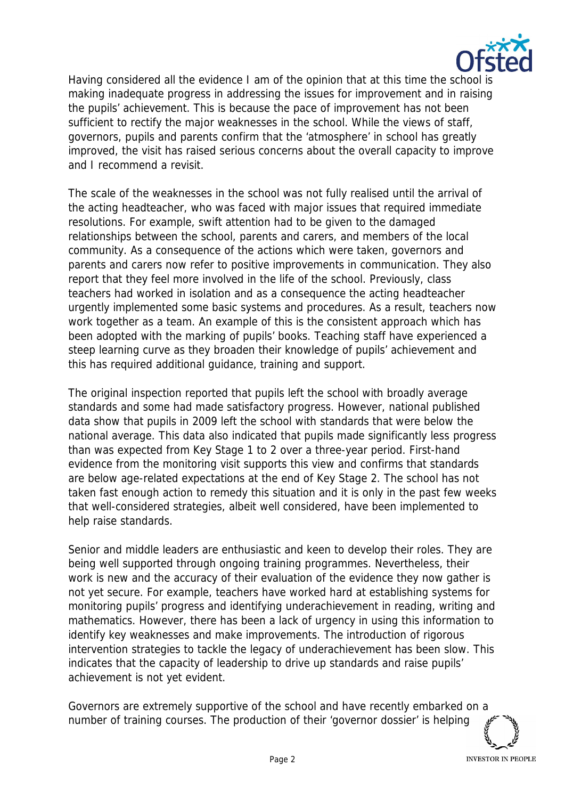

Having considered all the evidence I am of the opinion that at this time the school is making inadequate progress in addressing the issues for improvement and in raising the pupils' achievement. This is because the pace of improvement has not been sufficient to rectify the major weaknesses in the school. While the views of staff, governors, pupils and parents confirm that the 'atmosphere' in school has greatly improved, the visit has raised serious concerns about the overall capacity to improve and I recommend a revisit.

The scale of the weaknesses in the school was not fully realised until the arrival of the acting headteacher, who was faced with major issues that required immediate resolutions. For example, swift attention had to be given to the damaged relationships between the school, parents and carers, and members of the local community. As a consequence of the actions which were taken, governors and parents and carers now refer to positive improvements in communication. They also report that they feel more involved in the life of the school. Previously, class teachers had worked in isolation and as a consequence the acting headteacher urgently implemented some basic systems and procedures. As a result, teachers now work together as a team. An example of this is the consistent approach which has been adopted with the marking of pupils' books. Teaching staff have experienced a steep learning curve as they broaden their knowledge of pupils' achievement and this has required additional guidance, training and support.

The original inspection reported that pupils left the school with broadly average standards and some had made satisfactory progress. However, national published data show that pupils in 2009 left the school with standards that were below the national average. This data also indicated that pupils made significantly less progress than was expected from Key Stage 1 to 2 over a three-year period. First-hand evidence from the monitoring visit supports this view and confirms that standards are below age-related expectations at the end of Key Stage 2. The school has not taken fast enough action to remedy this situation and it is only in the past few weeks that well-considered strategies, albeit well considered, have been implemented to help raise standards.

Senior and middle leaders are enthusiastic and keen to develop their roles. They are being well supported through ongoing training programmes. Nevertheless, their work is new and the accuracy of their evaluation of the evidence they now gather is not yet secure. For example, teachers have worked hard at establishing systems for monitoring pupils' progress and identifying underachievement in reading, writing and mathematics. However, there has been a lack of urgency in using this information to identify key weaknesses and make improvements. The introduction of rigorous intervention strategies to tackle the legacy of underachievement has been slow. This indicates that the capacity of leadership to drive up standards and raise pupils' achievement is not yet evident.

Governors are extremely supportive of the school and have recently embarked on a number of training courses. The production of their 'governor dossier' is helping